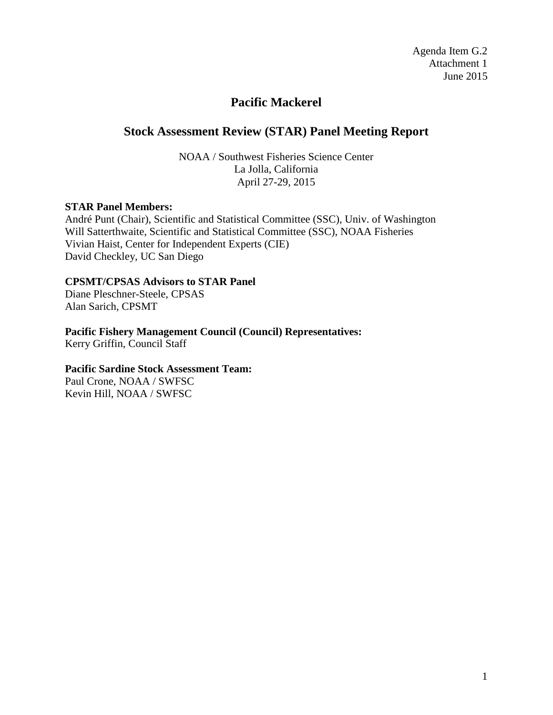Agenda Item G.2 Attachment 1 June 2015

# **Pacific Mackerel**

# **Stock Assessment Review (STAR) Panel Meeting Report**

NOAA / Southwest Fisheries Science Center La Jolla, California April 27-29, 2015

### **STAR Panel Members:**

André Punt (Chair), Scientific and Statistical Committee (SSC), Univ. of Washington Will Satterthwaite, Scientific and Statistical Committee (SSC), NOAA Fisheries Vivian Haist, Center for Independent Experts (CIE) David Checkley, UC San Diego

### **CPSMT/CPSAS Advisors to STAR Panel**

Diane Pleschner-Steele, CPSAS Alan Sarich, CPSMT

# **Pacific Fishery Management Council (Council) Representatives:**

Kerry Griffin, Council Staff

# **Pacific Sardine Stock Assessment Team:**

Paul Crone, NOAA / SWFSC Kevin Hill, NOAA / SWFSC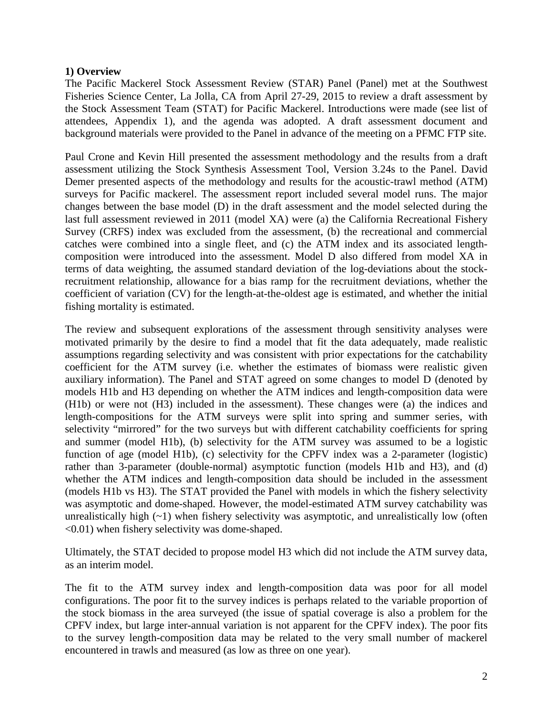### **1) Overview**

The Pacific Mackerel Stock Assessment Review (STAR) Panel (Panel) met at the Southwest Fisheries Science Center, La Jolla, CA from April 27-29, 2015 to review a draft assessment by the Stock Assessment Team (STAT) for Pacific Mackerel. Introductions were made (see list of attendees, Appendix 1), and the agenda was adopted. A draft assessment document and background materials were provided to the Panel in advance of the meeting on a PFMC FTP site.

Paul Crone and Kevin Hill presented the assessment methodology and the results from a draft assessment utilizing the Stock Synthesis Assessment Tool, Version 3.24s to the Panel. David Demer presented aspects of the methodology and results for the acoustic-trawl method (ATM) surveys for Pacific mackerel. The assessment report included several model runs. The major changes between the base model (D) in the draft assessment and the model selected during the last full assessment reviewed in 2011 (model XA) were (a) the California Recreational Fishery Survey (CRFS) index was excluded from the assessment, (b) the recreational and commercial catches were combined into a single fleet, and (c) the ATM index and its associated lengthcomposition were introduced into the assessment. Model D also differed from model XA in terms of data weighting, the assumed standard deviation of the log-deviations about the stockrecruitment relationship, allowance for a bias ramp for the recruitment deviations, whether the coefficient of variation (CV) for the length-at-the-oldest age is estimated, and whether the initial fishing mortality is estimated.

The review and subsequent explorations of the assessment through sensitivity analyses were motivated primarily by the desire to find a model that fit the data adequately, made realistic assumptions regarding selectivity and was consistent with prior expectations for the catchability coefficient for the ATM survey (i.e. whether the estimates of biomass were realistic given auxiliary information). The Panel and STAT agreed on some changes to model D (denoted by models H1b and H3 depending on whether the ATM indices and length-composition data were (H1b) or were not (H3) included in the assessment). These changes were (a) the indices and length-compositions for the ATM surveys were split into spring and summer series, with selectivity "mirrored" for the two surveys but with different catchability coefficients for spring and summer (model H1b), (b) selectivity for the ATM survey was assumed to be a logistic function of age (model H1b), (c) selectivity for the CPFV index was a 2-parameter (logistic) rather than 3-parameter (double-normal) asymptotic function (models H1b and H3), and (d) whether the ATM indices and length-composition data should be included in the assessment (models H1b vs H3). The STAT provided the Panel with models in which the fishery selectivity was asymptotic and dome-shaped. However, the model-estimated ATM survey catchability was unrealistically high  $(-1)$  when fishery selectivity was asymptotic, and unrealistically low (often <0.01) when fishery selectivity was dome-shaped.

Ultimately, the STAT decided to propose model H3 which did not include the ATM survey data, as an interim model.

The fit to the ATM survey index and length-composition data was poor for all model configurations. The poor fit to the survey indices is perhaps related to the variable proportion of the stock biomass in the area surveyed (the issue of spatial coverage is also a problem for the CPFV index, but large inter-annual variation is not apparent for the CPFV index). The poor fits to the survey length-composition data may be related to the very small number of mackerel encountered in trawls and measured (as low as three on one year).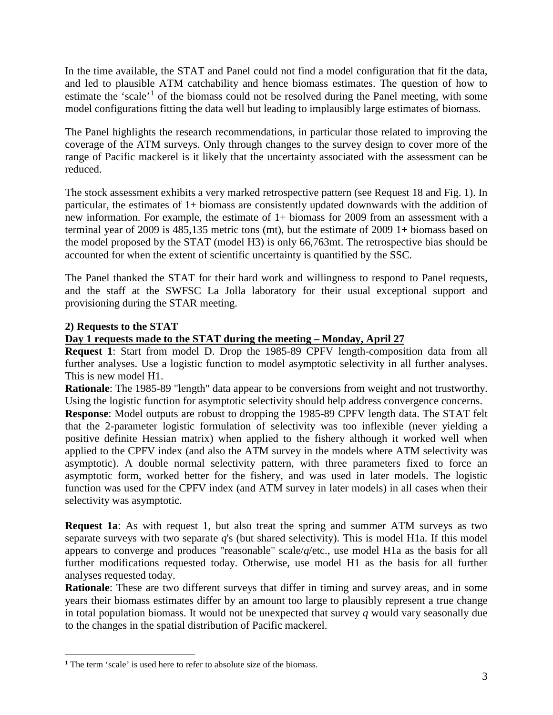In the time available, the STAT and Panel could not find a model configuration that fit the data, and led to plausible ATM catchability and hence biomass estimates. The question of how to estimate the 'scale'<sup>[1](#page-2-0)</sup> of the biomass could not be resolved during the Panel meeting, with some model configurations fitting the data well but leading to implausibly large estimates of biomass.

The Panel highlights the research recommendations, in particular those related to improving the coverage of the ATM surveys. Only through changes to the survey design to cover more of the range of Pacific mackerel is it likely that the uncertainty associated with the assessment can be reduced.

The stock assessment exhibits a very marked retrospective pattern (see Request 18 and Fig. 1). In particular, the estimates of 1+ biomass are consistently updated downwards with the addition of new information. For example, the estimate of 1+ biomass for 2009 from an assessment with a terminal year of 2009 is 485,135 metric tons (mt), but the estimate of 2009 1+ biomass based on the model proposed by the STAT (model H3) is only 66,763mt. The retrospective bias should be accounted for when the extent of scientific uncertainty is quantified by the SSC.

The Panel thanked the STAT for their hard work and willingness to respond to Panel requests, and the staff at the SWFSC La Jolla laboratory for their usual exceptional support and provisioning during the STAR meeting.

# **2) Requests to the STAT**

# **Day 1 requests made to the STAT during the meeting – Monday, April 27**

**Request 1**: Start from model D. Drop the 1985-89 CPFV length-composition data from all further analyses. Use a logistic function to model asymptotic selectivity in all further analyses. This is new model H1.

**Rationale**: The 1985-89 "length" data appear to be conversions from weight and not trustworthy. Using the logistic function for asymptotic selectivity should help address convergence concerns.

**Response**: Model outputs are robust to dropping the 1985-89 CPFV length data. The STAT felt that the 2-parameter logistic formulation of selectivity was too inflexible (never yielding a positive definite Hessian matrix) when applied to the fishery although it worked well when applied to the CPFV index (and also the ATM survey in the models where ATM selectivity was asymptotic). A double normal selectivity pattern, with three parameters fixed to force an asymptotic form, worked better for the fishery, and was used in later models. The logistic function was used for the CPFV index (and ATM survey in later models) in all cases when their selectivity was asymptotic.

**Request 1a**: As with request 1, but also treat the spring and summer ATM surveys as two separate surveys with two separate *q*'s (but shared selectivity). This is model H1a. If this model appears to converge and produces "reasonable" scale/*q*/etc., use model H1a as the basis for all further modifications requested today. Otherwise, use model H1 as the basis for all further analyses requested today.

**Rationale**: These are two different surveys that differ in timing and survey areas, and in some years their biomass estimates differ by an amount too large to plausibly represent a true change in total population biomass. It would not be unexpected that survey  $q$  would vary seasonally due to the changes in the spatial distribution of Pacific mackerel.

<span id="page-2-0"></span><sup>&</sup>lt;sup>1</sup> The term 'scale' is used here to refer to absolute size of the biomass.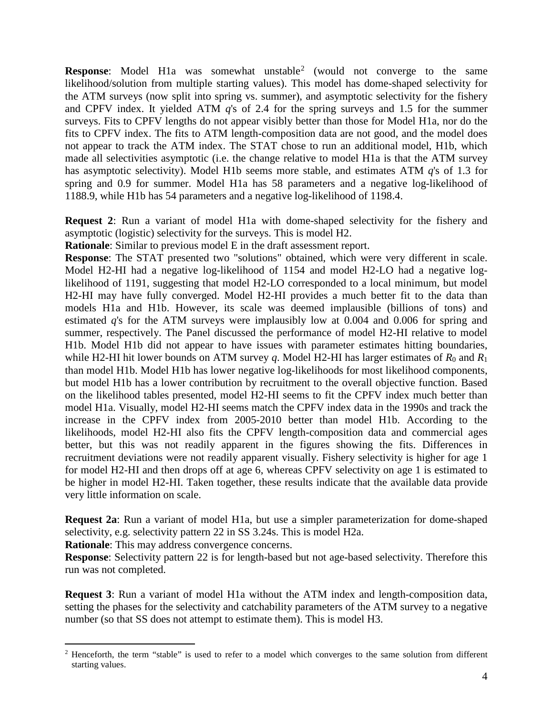**Response**: Model H1a was somewhat unstable<sup>[2](#page-3-0)</sup> (would not converge to the same likelihood/solution from multiple starting values). This model has dome-shaped selectivity for the ATM surveys (now split into spring vs. summer), and asymptotic selectivity for the fishery and CPFV index. It yielded ATM *q*'s of 2.4 for the spring surveys and 1.5 for the summer surveys. Fits to CPFV lengths do not appear visibly better than those for Model H1a, nor do the fits to CPFV index. The fits to ATM length-composition data are not good, and the model does not appear to track the ATM index. The STAT chose to run an additional model, H1b, which made all selectivities asymptotic (i.e. the change relative to model H1a is that the ATM survey has asymptotic selectivity). Model H1b seems more stable, and estimates ATM *q*'s of 1.3 for spring and 0.9 for summer. Model H1a has 58 parameters and a negative log-likelihood of 1188.9, while H1b has 54 parameters and a negative log-likelihood of 1198.4.

**Request 2**: Run a variant of model H1a with dome-shaped selectivity for the fishery and asymptotic (logistic) selectivity for the surveys. This is model H2.

**Rationale**: Similar to previous model E in the draft assessment report.

**Response**: The STAT presented two "solutions" obtained, which were very different in scale. Model H2-HI had a negative log-likelihood of 1154 and model H2-LO had a negative loglikelihood of 1191, suggesting that model H2-LO corresponded to a local minimum, but model H2-HI may have fully converged. Model H2-HI provides a much better fit to the data than models H1a and H1b. However, its scale was deemed implausible (billions of tons) and estimated *q*'s for the ATM surveys were implausibly low at 0.004 and 0.006 for spring and summer, respectively. The Panel discussed the performance of model H2-HI relative to model H1b. Model H1b did not appear to have issues with parameter estimates hitting boundaries, while H2-HI hit lower bounds on ATM survey *q*. Model H2-HI has larger estimates of  $R_0$  and  $R_1$ than model H1b. Model H1b has lower negative log-likelihoods for most likelihood components, but model H1b has a lower contribution by recruitment to the overall objective function. Based on the likelihood tables presented, model H2-HI seems to fit the CPFV index much better than model H1a. Visually, model H2-HI seems match the CPFV index data in the 1990s and track the increase in the CPFV index from 2005-2010 better than model H1b. According to the likelihoods, model H2-HI also fits the CPFV length-composition data and commercial ages better, but this was not readily apparent in the figures showing the fits. Differences in recruitment deviations were not readily apparent visually. Fishery selectivity is higher for age 1 for model H2-HI and then drops off at age 6, whereas CPFV selectivity on age 1 is estimated to be higher in model H2-HI. Taken together, these results indicate that the available data provide very little information on scale.

**Request 2a**: Run a variant of model H1a, but use a simpler parameterization for dome-shaped selectivity, e.g. selectivity pattern 22 in SS 3.24s. This is model H2a.

**Rationale**: This may address convergence concerns.

**Response**: Selectivity pattern 22 is for length-based but not age-based selectivity. Therefore this run was not completed.

**Request 3**: Run a variant of model H1a without the ATM index and length-composition data, setting the phases for the selectivity and catchability parameters of the ATM survey to a negative number (so that SS does not attempt to estimate them). This is model H3.

<span id="page-3-0"></span><sup>&</sup>lt;sup>2</sup> Henceforth, the term "stable" is used to refer to a model which converges to the same solution from different starting values.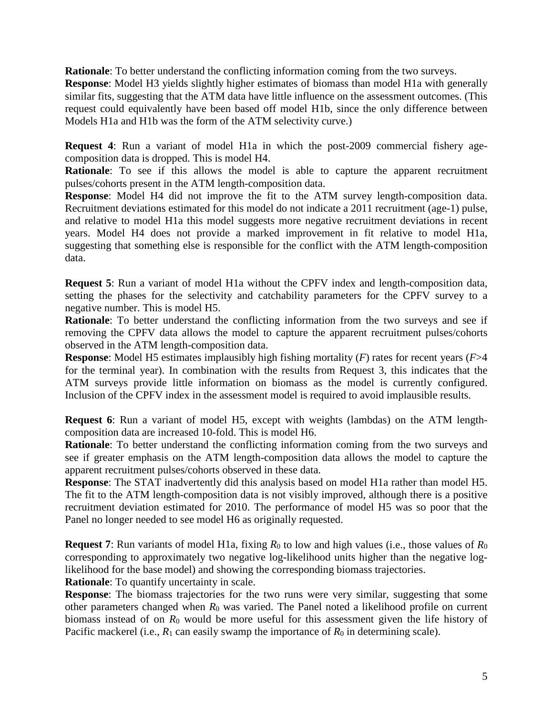**Rationale**: To better understand the conflicting information coming from the two surveys.

**Response**: Model H3 yields slightly higher estimates of biomass than model H1a with generally similar fits, suggesting that the ATM data have little influence on the assessment outcomes. (This request could equivalently have been based off model H1b, since the only difference between Models H1a and H1b was the form of the ATM selectivity curve.)

**Request 4**: Run a variant of model H1a in which the post-2009 commercial fishery agecomposition data is dropped. This is model H4.

**Rationale**: To see if this allows the model is able to capture the apparent recruitment pulses/cohorts present in the ATM length-composition data.

**Response**: Model H4 did not improve the fit to the ATM survey length-composition data. Recruitment deviations estimated for this model do not indicate a 2011 recruitment (age-1) pulse, and relative to model H1a this model suggests more negative recruitment deviations in recent years. Model H4 does not provide a marked improvement in fit relative to model H1a, suggesting that something else is responsible for the conflict with the ATM length-composition data.

**Request 5**: Run a variant of model H1a without the CPFV index and length-composition data, setting the phases for the selectivity and catchability parameters for the CPFV survey to a negative number. This is model H5.

**Rationale**: To better understand the conflicting information from the two surveys and see if removing the CPFV data allows the model to capture the apparent recruitment pulses/cohorts observed in the ATM length-composition data.

**Response**: Model H5 estimates implausibly high fishing mortality (*F*) rates for recent years (*F*>4 for the terminal year). In combination with the results from Request 3, this indicates that the ATM surveys provide little information on biomass as the model is currently configured. Inclusion of the CPFV index in the assessment model is required to avoid implausible results.

**Request 6**: Run a variant of model H5, except with weights (lambdas) on the ATM lengthcomposition data are increased 10-fold. This is model H6.

**Rationale**: To better understand the conflicting information coming from the two surveys and see if greater emphasis on the ATM length-composition data allows the model to capture the apparent recruitment pulses/cohorts observed in these data.

**Response**: The STAT inadvertently did this analysis based on model H1a rather than model H5. The fit to the ATM length-composition data is not visibly improved, although there is a positive recruitment deviation estimated for 2010. The performance of model H5 was so poor that the Panel no longer needed to see model H6 as originally requested.

**Request 7**: Run variants of model H1a, fixing  $R_0$  to low and high values (i.e., those values of  $R_0$ ) corresponding to approximately two negative log-likelihood units higher than the negative loglikelihood for the base model) and showing the corresponding biomass trajectories.

**Rationale:** To quantify uncertainty in scale.

**Response**: The biomass trajectories for the two runs were very similar, suggesting that some other parameters changed when  $R_0$  was varied. The Panel noted a likelihood profile on current biomass instead of on *R*<sup>0</sup> would be more useful for this assessment given the life history of Pacific mackerel (i.e.,  $R_1$  can easily swamp the importance of  $R_0$  in determining scale).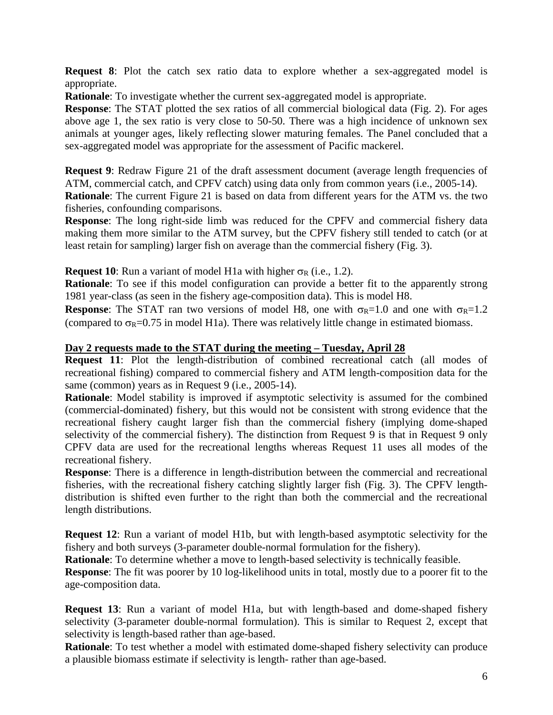**Request 8:** Plot the catch sex ratio data to explore whether a sex-aggregated model is appropriate.

**Rationale**: To investigate whether the current sex-aggregated model is appropriate.

**Response**: The STAT plotted the sex ratios of all commercial biological data (Fig. 2). For ages above age 1, the sex ratio is very close to 50-50. There was a high incidence of unknown sex animals at younger ages, likely reflecting slower maturing females. The Panel concluded that a sex-aggregated model was appropriate for the assessment of Pacific mackerel.

**Request 9:** Redraw Figure 21 of the draft assessment document (average length frequencies of ATM, commercial catch, and CPFV catch) using data only from common years (i.e., 2005-14). **Rationale**: The current Figure 21 is based on data from different years for the ATM vs. the two fisheries, confounding comparisons.

**Response**: The long right-side limb was reduced for the CPFV and commercial fishery data making them more similar to the ATM survey, but the CPFV fishery still tended to catch (or at least retain for sampling) larger fish on average than the commercial fishery (Fig. 3).

**Request 10:** Run a variant of model H1a with higher  $\sigma_R$  (i.e., 1.2).

**Rationale**: To see if this model configuration can provide a better fit to the apparently strong 1981 year-class (as seen in the fishery age-composition data). This is model H8.

**Response:** The STAT ran two versions of model H8, one with  $\sigma_R=1.0$  and one with  $\sigma_R=1.2$ (compared to  $\sigma_R$ =0.75 in model H1a). There was relatively little change in estimated biomass.

### **Day 2 requests made to the STAT during the meeting – Tuesday, April 28**

**Request 11**: Plot the length-distribution of combined recreational catch (all modes of recreational fishing) compared to commercial fishery and ATM length-composition data for the same (common) years as in Request 9 (i.e., 2005-14).

**Rationale**: Model stability is improved if asymptotic selectivity is assumed for the combined (commercial-dominated) fishery, but this would not be consistent with strong evidence that the recreational fishery caught larger fish than the commercial fishery (implying dome-shaped selectivity of the commercial fishery). The distinction from Request 9 is that in Request 9 only CPFV data are used for the recreational lengths whereas Request 11 uses all modes of the recreational fishery.

**Response**: There is a difference in length-distribution between the commercial and recreational fisheries, with the recreational fishery catching slightly larger fish (Fig. 3). The CPFV lengthdistribution is shifted even further to the right than both the commercial and the recreational length distributions.

**Request 12**: Run a variant of model H1b, but with length-based asymptotic selectivity for the fishery and both surveys (3-parameter double-normal formulation for the fishery).

**Rationale**: To determine whether a move to length-based selectivity is technically feasible.

**Response**: The fit was poorer by 10 log-likelihood units in total, mostly due to a poorer fit to the age-composition data.

**Request 13**: Run a variant of model H1a, but with length-based and dome-shaped fishery selectivity (3-parameter double-normal formulation). This is similar to Request 2, except that selectivity is length-based rather than age-based.

**Rationale**: To test whether a model with estimated dome-shaped fishery selectivity can produce a plausible biomass estimate if selectivity is length- rather than age-based.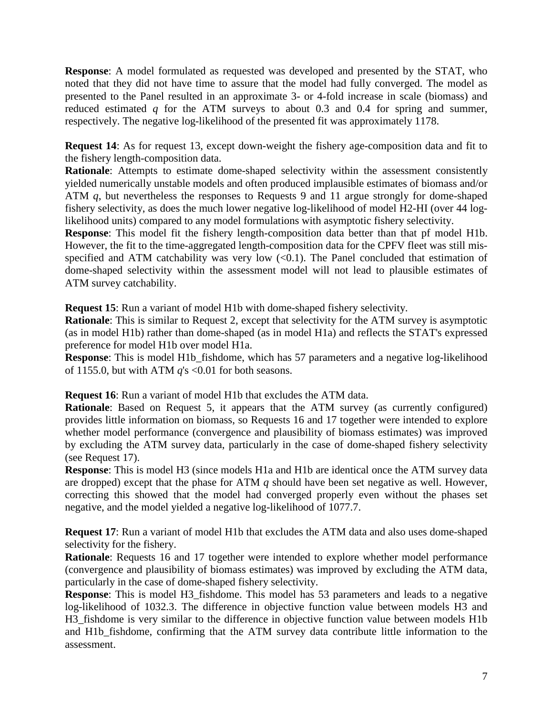**Response**: A model formulated as requested was developed and presented by the STAT, who noted that they did not have time to assure that the model had fully converged. The model as presented to the Panel resulted in an approximate 3- or 4-fold increase in scale (biomass) and reduced estimated *q* for the ATM surveys to about 0.3 and 0.4 for spring and summer, respectively. The negative log-likelihood of the presented fit was approximately 1178.

**Request 14**: As for request 13, except down-weight the fishery age-composition data and fit to the fishery length-composition data.

**Rationale:** Attempts to estimate dome-shaped selectivity within the assessment consistently yielded numerically unstable models and often produced implausible estimates of biomass and/or ATM *q*, but nevertheless the responses to Requests 9 and 11 argue strongly for dome-shaped fishery selectivity, as does the much lower negative log-likelihood of model H2-HI (over 44 loglikelihood units) compared to any model formulations with asymptotic fishery selectivity.

**Response**: This model fit the fishery length-composition data better than that pf model H1b. However, the fit to the time-aggregated length-composition data for the CPFV fleet was still misspecified and ATM catchability was very low  $(<0.1$ ). The Panel concluded that estimation of dome-shaped selectivity within the assessment model will not lead to plausible estimates of ATM survey catchability.

**Request 15**: Run a variant of model H1b with dome-shaped fishery selectivity.

**Rationale**: This is similar to Request 2, except that selectivity for the ATM survey is asymptotic (as in model H1b) rather than dome-shaped (as in model H1a) and reflects the STAT's expressed preference for model H1b over model H1a.

**Response**: This is model H1b\_fishdome, which has 57 parameters and a negative log-likelihood of 1155.0, but with ATM  $q$ 's <0.01 for both seasons.

**Request 16**: Run a variant of model H1b that excludes the ATM data.

**Rationale:** Based on Request 5, it appears that the ATM survey (as currently configured) provides little information on biomass, so Requests 16 and 17 together were intended to explore whether model performance (convergence and plausibility of biomass estimates) was improved by excluding the ATM survey data, particularly in the case of dome-shaped fishery selectivity (see Request 17).

**Response**: This is model H3 (since models H1a and H1b are identical once the ATM survey data are dropped) except that the phase for ATM *q* should have been set negative as well. However, correcting this showed that the model had converged properly even without the phases set negative, and the model yielded a negative log-likelihood of 1077.7.

**Request 17**: Run a variant of model H1b that excludes the ATM data and also uses dome-shaped selectivity for the fishery.

**Rationale**: Requests 16 and 17 together were intended to explore whether model performance (convergence and plausibility of biomass estimates) was improved by excluding the ATM data, particularly in the case of dome-shaped fishery selectivity.

**Response**: This is model H3\_fishdome. This model has 53 parameters and leads to a negative log-likelihood of 1032.3. The difference in objective function value between models H3 and H3\_fishdome is very similar to the difference in objective function value between models H1b and H1b fishdome, confirming that the ATM survey data contribute little information to the assessment.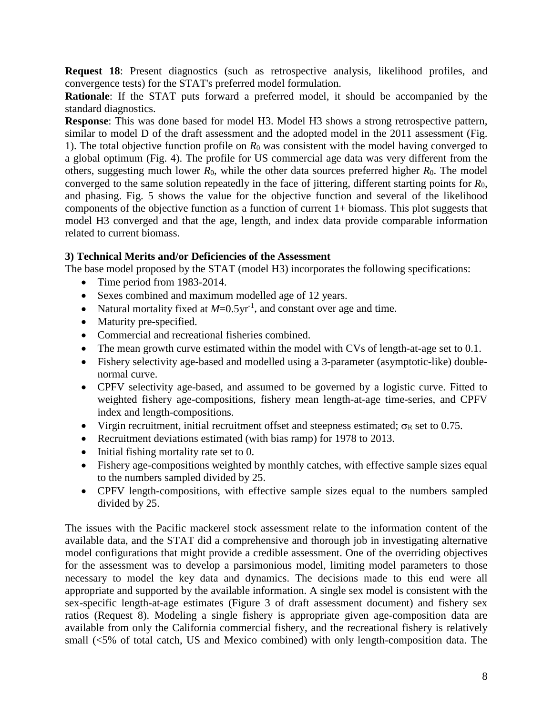**Request 18**: Present diagnostics (such as retrospective analysis, likelihood profiles, and convergence tests) for the STAT's preferred model formulation.

**Rationale**: If the STAT puts forward a preferred model, it should be accompanied by the standard diagnostics.

**Response**: This was done based for model H3. Model H3 shows a strong retrospective pattern, similar to model D of the draft assessment and the adopted model in the 2011 assessment (Fig. 1). The total objective function profile on *R*<sup>0</sup> was consistent with the model having converged to a global optimum (Fig. 4). The profile for US commercial age data was very different from the others, suggesting much lower  $R_0$ , while the other data sources preferred higher  $R_0$ . The model converged to the same solution repeatedly in the face of jittering, different starting points for *R*0, and phasing. Fig. 5 shows the value for the objective function and several of the likelihood components of the objective function as a function of current 1+ biomass. This plot suggests that model H3 converged and that the age, length, and index data provide comparable information related to current biomass.

# **3) Technical Merits and/or Deficiencies of the Assessment**

The base model proposed by the STAT (model H3) incorporates the following specifications:

- Time period from 1983-2014.
- Sexes combined and maximum modelled age of 12 years.
- Natural mortality fixed at  $M=0.5$ yr<sup>-1</sup>, and constant over age and time.
- Maturity pre-specified.
- Commercial and recreational fisheries combined.
- The mean growth curve estimated within the model with CVs of length-at-age set to 0.1.
- Fishery selectivity age-based and modelled using a 3-parameter (asymptotic-like) doublenormal curve.
- CPFV selectivity age-based, and assumed to be governed by a logistic curve. Fitted to weighted fishery age-compositions, fishery mean length-at-age time-series, and CPFV index and length-compositions.
- Virgin recruitment, initial recruitment offset and steepness estimated;  $\sigma_R$  set to 0.75.
- Recruitment deviations estimated (with bias ramp) for 1978 to 2013.
- Initial fishing mortality rate set to 0.
- Fishery age-compositions weighted by monthly catches, with effective sample sizes equal to the numbers sampled divided by 25.
- CPFV length-compositions, with effective sample sizes equal to the numbers sampled divided by 25.

The issues with the Pacific mackerel stock assessment relate to the information content of the available data, and the STAT did a comprehensive and thorough job in investigating alternative model configurations that might provide a credible assessment. One of the overriding objectives for the assessment was to develop a parsimonious model, limiting model parameters to those necessary to model the key data and dynamics. The decisions made to this end were all appropriate and supported by the available information. A single sex model is consistent with the sex-specific length-at-age estimates (Figure 3 of draft assessment document) and fishery sex ratios (Request 8). Modeling a single fishery is appropriate given age-composition data are available from only the California commercial fishery, and the recreational fishery is relatively small (<5% of total catch, US and Mexico combined) with only length-composition data. The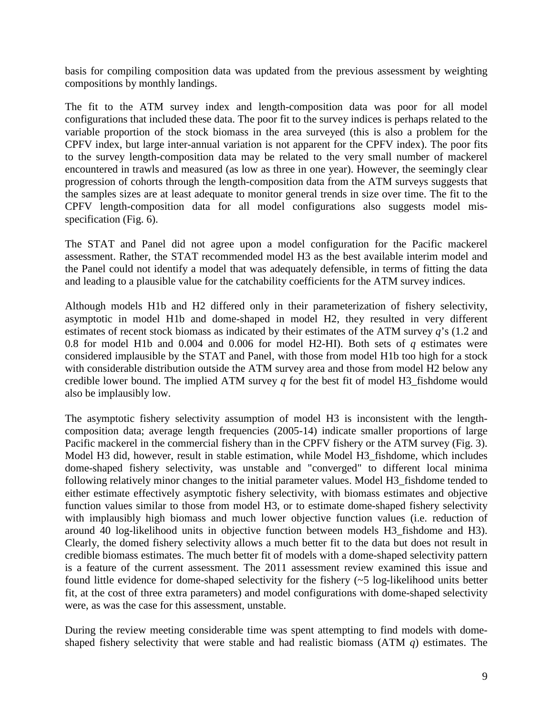basis for compiling composition data was updated from the previous assessment by weighting compositions by monthly landings.

The fit to the ATM survey index and length-composition data was poor for all model configurations that included these data. The poor fit to the survey indices is perhaps related to the variable proportion of the stock biomass in the area surveyed (this is also a problem for the CPFV index, but large inter-annual variation is not apparent for the CPFV index). The poor fits to the survey length-composition data may be related to the very small number of mackerel encountered in trawls and measured (as low as three in one year). However, the seemingly clear progression of cohorts through the length-composition data from the ATM surveys suggests that the samples sizes are at least adequate to monitor general trends in size over time. The fit to the CPFV length-composition data for all model configurations also suggests model misspecification (Fig. 6).

The STAT and Panel did not agree upon a model configuration for the Pacific mackerel assessment. Rather, the STAT recommended model H3 as the best available interim model and the Panel could not identify a model that was adequately defensible, in terms of fitting the data and leading to a plausible value for the catchability coefficients for the ATM survey indices.

Although models H1b and H2 differed only in their parameterization of fishery selectivity, asymptotic in model H1b and dome-shaped in model H2, they resulted in very different estimates of recent stock biomass as indicated by their estimates of the ATM survey *q*'s (1.2 and 0.8 for model H1b and 0.004 and 0.006 for model H2-HI). Both sets of *q* estimates were considered implausible by the STAT and Panel, with those from model H1b too high for a stock with considerable distribution outside the ATM survey area and those from model H2 below any credible lower bound. The implied ATM survey *q* for the best fit of model H3\_fishdome would also be implausibly low.

The asymptotic fishery selectivity assumption of model H3 is inconsistent with the lengthcomposition data; average length frequencies (2005-14) indicate smaller proportions of large Pacific mackerel in the commercial fishery than in the CPFV fishery or the ATM survey (Fig. 3). Model H3 did, however, result in stable estimation, while Model H3\_fishdome, which includes dome-shaped fishery selectivity, was unstable and "converged" to different local minima following relatively minor changes to the initial parameter values. Model H3\_fishdome tended to either estimate effectively asymptotic fishery selectivity, with biomass estimates and objective function values similar to those from model H3, or to estimate dome-shaped fishery selectivity with implausibly high biomass and much lower objective function values (i.e. reduction of around 40 log-likelihood units in objective function between models H3\_fishdome and H3). Clearly, the domed fishery selectivity allows a much better fit to the data but does not result in credible biomass estimates. The much better fit of models with a dome-shaped selectivity pattern is a feature of the current assessment. The 2011 assessment review examined this issue and found little evidence for dome-shaped selectivity for the fishery (~5 log-likelihood units better fit, at the cost of three extra parameters) and model configurations with dome-shaped selectivity were, as was the case for this assessment, unstable.

During the review meeting considerable time was spent attempting to find models with domeshaped fishery selectivity that were stable and had realistic biomass (ATM *q*) estimates. The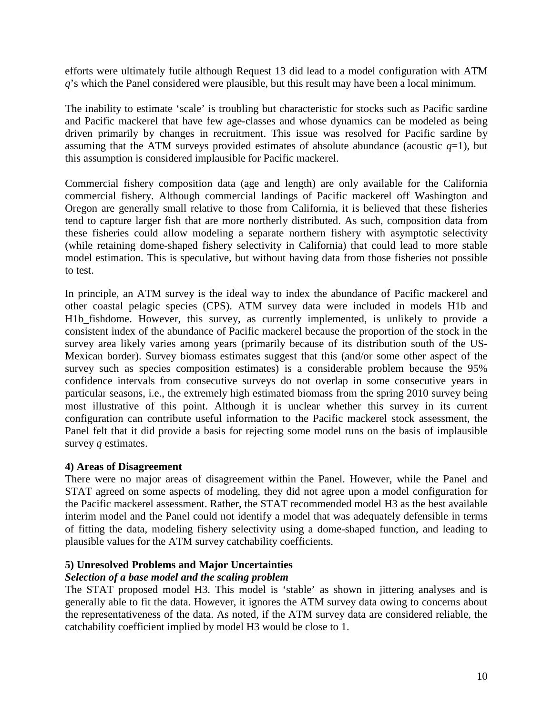efforts were ultimately futile although Request 13 did lead to a model configuration with ATM *q*'s which the Panel considered were plausible, but this result may have been a local minimum.

The inability to estimate 'scale' is troubling but characteristic for stocks such as Pacific sardine and Pacific mackerel that have few age-classes and whose dynamics can be modeled as being driven primarily by changes in recruitment. This issue was resolved for Pacific sardine by assuming that the ATM surveys provided estimates of absolute abundance (acoustic  $q=1$ ), but this assumption is considered implausible for Pacific mackerel.

Commercial fishery composition data (age and length) are only available for the California commercial fishery. Although commercial landings of Pacific mackerel off Washington and Oregon are generally small relative to those from California, it is believed that these fisheries tend to capture larger fish that are more northerly distributed. As such, composition data from these fisheries could allow modeling a separate northern fishery with asymptotic selectivity (while retaining dome-shaped fishery selectivity in California) that could lead to more stable model estimation. This is speculative, but without having data from those fisheries not possible to test.

In principle, an ATM survey is the ideal way to index the abundance of Pacific mackerel and other coastal pelagic species (CPS). ATM survey data were included in models H1b and H1b fishdome. However, this survey, as currently implemented, is unlikely to provide a consistent index of the abundance of Pacific mackerel because the proportion of the stock in the survey area likely varies among years (primarily because of its distribution south of the US-Mexican border). Survey biomass estimates suggest that this (and/or some other aspect of the survey such as species composition estimates) is a considerable problem because the 95% confidence intervals from consecutive surveys do not overlap in some consecutive years in particular seasons, i.e., the extremely high estimated biomass from the spring 2010 survey being most illustrative of this point. Although it is unclear whether this survey in its current configuration can contribute useful information to the Pacific mackerel stock assessment, the Panel felt that it did provide a basis for rejecting some model runs on the basis of implausible survey *q* estimates.

### **4) Areas of Disagreement**

There were no major areas of disagreement within the Panel. However, while the Panel and STAT agreed on some aspects of modeling, they did not agree upon a model configuration for the Pacific mackerel assessment. Rather, the STAT recommended model H3 as the best available interim model and the Panel could not identify a model that was adequately defensible in terms of fitting the data, modeling fishery selectivity using a dome-shaped function, and leading to plausible values for the ATM survey catchability coefficients.

# **5) Unresolved Problems and Major Uncertainties**

# *Selection of a base model and the scaling problem*

The STAT proposed model H3. This model is 'stable' as shown in jittering analyses and is generally able to fit the data. However, it ignores the ATM survey data owing to concerns about the representativeness of the data. As noted, if the ATM survey data are considered reliable, the catchability coefficient implied by model H3 would be close to 1.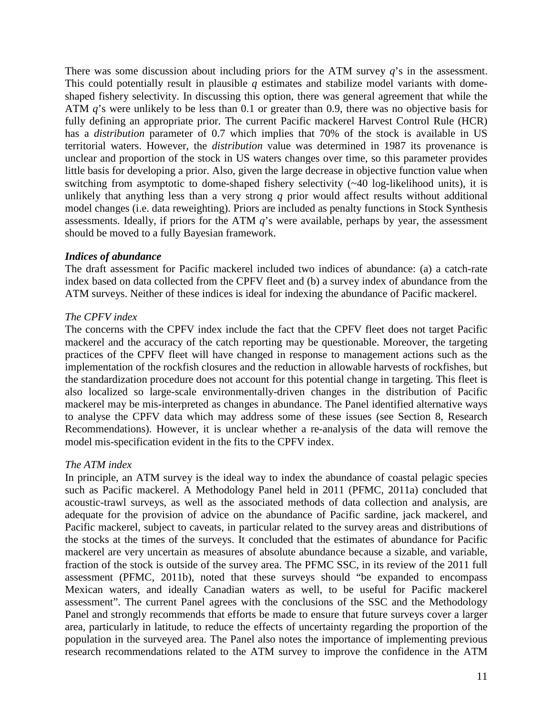There was some discussion about including priors for the ATM survey *q*'s in the assessment. This could potentially result in plausible *q* estimates and stabilize model variants with domeshaped fishery selectivity. In discussing this option, there was general agreement that while the ATM *q*'s were unlikely to be less than 0.1 or greater than 0.9, there was no objective basis for fully defining an appropriate prior. The current Pacific mackerel Harvest Control Rule (HCR) has a *distribution* parameter of 0.7 which implies that 70% of the stock is available in US territorial waters. However, the *distribution* value was determined in 1987 its provenance is unclear and proportion of the stock in US waters changes over time, so this parameter provides little basis for developing a prior. Also, given the large decrease in objective function value when switching from asymptotic to dome-shaped fishery selectivity (~40 log-likelihood units), it is unlikely that anything less than a very strong *q* prior would affect results without additional model changes (i.e. data reweighting). Priors are included as penalty functions in Stock Synthesis assessments. Ideally, if priors for the ATM *q*'s were available, perhaps by year, the assessment should be moved to a fully Bayesian framework.

### *Indices of abundance*

The draft assessment for Pacific mackerel included two indices of abundance: (a) a catch-rate index based on data collected from the CPFV fleet and (b) a survey index of abundance from the ATM surveys. Neither of these indices is ideal for indexing the abundance of Pacific mackerel.

### *The CPFV index*

The concerns with the CPFV index include the fact that the CPFV fleet does not target Pacific mackerel and the accuracy of the catch reporting may be questionable. Moreover, the targeting practices of the CPFV fleet will have changed in response to management actions such as the implementation of the rockfish closures and the reduction in allowable harvests of rockfishes, but the standardization procedure does not account for this potential change in targeting. This fleet is also localized so large-scale environmentally-driven changes in the distribution of Pacific mackerel may be mis-interpreted as changes in abundance. The Panel identified alternative ways to analyse the CPFV data which may address some of these issues (see Section 8, Research Recommendations). However, it is unclear whether a re-analysis of the data will remove the model mis-specification evident in the fits to the CPFV index.

# *The ATM index*

In principle, an ATM survey is the ideal way to index the abundance of coastal pelagic species such as Pacific mackerel. A Methodology Panel held in 2011 (PFMC, 2011a) concluded that acoustic-trawl surveys, as well as the associated methods of data collection and analysis, are adequate for the provision of advice on the abundance of Pacific sardine, jack mackerel, and Pacific mackerel, subject to caveats, in particular related to the survey areas and distributions of the stocks at the times of the surveys. It concluded that the estimates of abundance for Pacific mackerel are very uncertain as measures of absolute abundance because a sizable, and variable, fraction of the stock is outside of the survey area. The PFMC SSC, in its review of the 2011 full assessment (PFMC, 2011b), noted that these surveys should "be expanded to encompass Mexican waters, and ideally Canadian waters as well, to be useful for Pacific mackerel assessment". The current Panel agrees with the conclusions of the SSC and the Methodology Panel and strongly recommends that efforts be made to ensure that future surveys cover a larger area, particularly in latitude, to reduce the effects of uncertainty regarding the proportion of the population in the surveyed area. The Panel also notes the importance of implementing previous research recommendations related to the ATM survey to improve the confidence in the ATM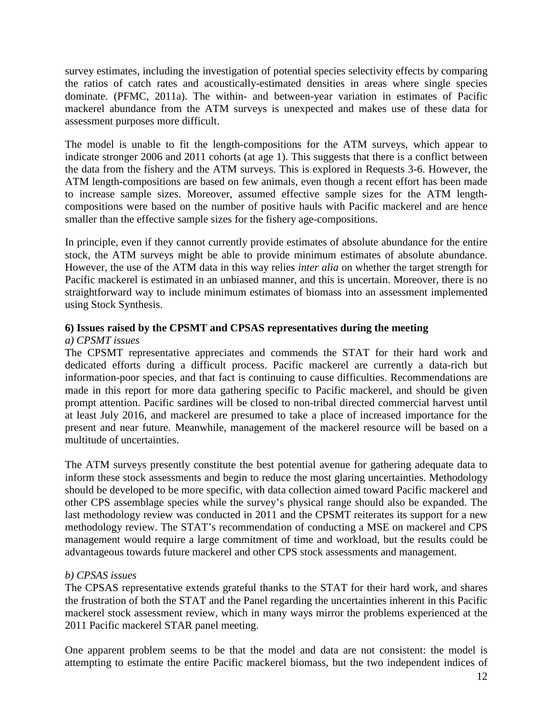survey estimates, including the investigation of potential species selectivity effects by comparing the ratios of catch rates and acoustically-estimated densities in areas where single species dominate. (PFMC, 2011a). The within- and between-year variation in estimates of Pacific mackerel abundance from the ATM surveys is unexpected and makes use of these data for assessment purposes more difficult.

The model is unable to fit the length-compositions for the ATM surveys, which appear to indicate stronger 2006 and 2011 cohorts (at age 1). This suggests that there is a conflict between the data from the fishery and the ATM surveys. This is explored in Requests 3-6. However, the ATM length-compositions are based on few animals, even though a recent effort has been made to increase sample sizes. Moreover, assumed effective sample sizes for the ATM lengthcompositions were based on the number of positive hauls with Pacific mackerel and are hence smaller than the effective sample sizes for the fishery age-compositions.

In principle, even if they cannot currently provide estimates of absolute abundance for the entire stock, the ATM surveys might be able to provide minimum estimates of absolute abundance. However, the use of the ATM data in this way relies *inter alia* on whether the target strength for Pacific mackerel is estimated in an unbiased manner, and this is uncertain. Moreover, there is no straightforward way to include minimum estimates of biomass into an assessment implemented using Stock Synthesis.

# **6) Issues raised by the CPSMT and CPSAS representatives during the meeting**

# *a) CPSMT issues*

The CPSMT representative appreciates and commends the STAT for their hard work and dedicated efforts during a difficult process. Pacific mackerel are currently a data-rich but information-poor species, and that fact is continuing to cause difficulties. Recommendations are made in this report for more data gathering specific to Pacific mackerel, and should be given prompt attention. Pacific sardines will be closed to non-tribal directed commercial harvest until at least July 2016, and mackerel are presumed to take a place of increased importance for the present and near future. Meanwhile, management of the mackerel resource will be based on a multitude of uncertainties.

The ATM surveys presently constitute the best potential avenue for gathering adequate data to inform these stock assessments and begin to reduce the most glaring uncertainties. Methodology should be developed to be more specific, with data collection aimed toward Pacific mackerel and other CPS assemblage species while the survey's physical range should also be expanded. The last methodology review was conducted in 2011 and the CPSMT reiterates its support for a new methodology review. The STAT's recommendation of conducting a MSE on mackerel and CPS management would require a large commitment of time and workload, but the results could be advantageous towards future mackerel and other CPS stock assessments and management.

# *b) CPSAS issues*

The CPSAS representative extends grateful thanks to the STAT for their hard work, and shares the frustration of both the STAT and the Panel regarding the uncertainties inherent in this Pacific mackerel stock assessment review, which in many ways mirror the problems experienced at the 2011 Pacific mackerel STAR panel meeting.

One apparent problem seems to be that the model and data are not consistent: the model is attempting to estimate the entire Pacific mackerel biomass, but the two independent indices of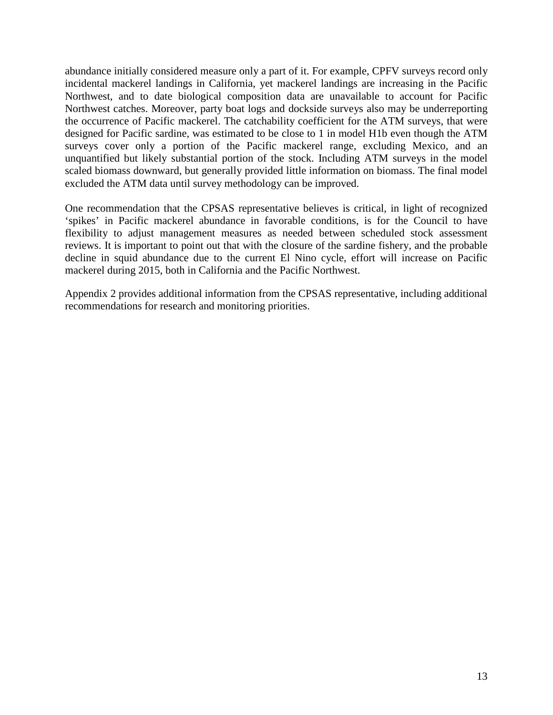abundance initially considered measure only a part of it. For example, CPFV surveys record only incidental mackerel landings in California, yet mackerel landings are increasing in the Pacific Northwest, and to date biological composition data are unavailable to account for Pacific Northwest catches. Moreover, party boat logs and dockside surveys also may be underreporting the occurrence of Pacific mackerel. The catchability coefficient for the ATM surveys, that were designed for Pacific sardine, was estimated to be close to 1 in model H1b even though the ATM surveys cover only a portion of the Pacific mackerel range, excluding Mexico, and an unquantified but likely substantial portion of the stock. Including ATM surveys in the model scaled biomass downward, but generally provided little information on biomass. The final model excluded the ATM data until survey methodology can be improved.

One recommendation that the CPSAS representative believes is critical, in light of recognized 'spikes' in Pacific mackerel abundance in favorable conditions, is for the Council to have flexibility to adjust management measures as needed between scheduled stock assessment reviews. It is important to point out that with the closure of the sardine fishery, and the probable decline in squid abundance due to the current El Nino cycle, effort will increase on Pacific mackerel during 2015, both in California and the Pacific Northwest.

Appendix 2 provides additional information from the CPSAS representative, including additional recommendations for research and monitoring priorities.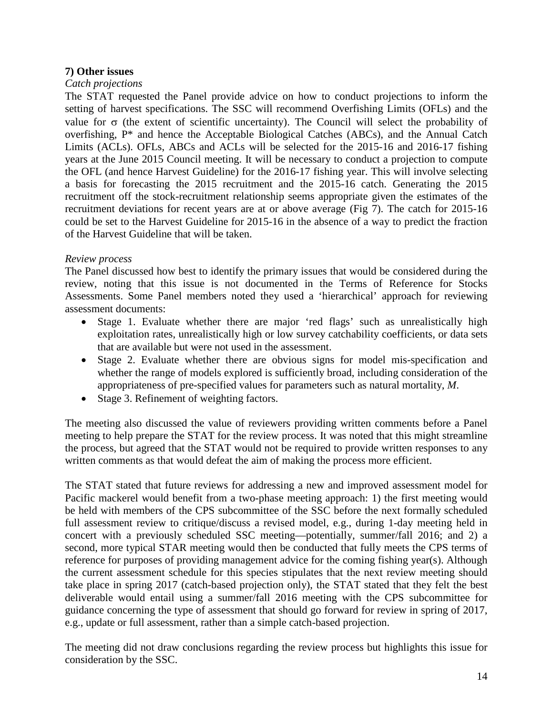### **7) Other issues**

### *Catch projections*

The STAT requested the Panel provide advice on how to conduct projections to inform the setting of harvest specifications. The SSC will recommend Overfishing Limits (OFLs) and the value for  $\sigma$  (the extent of scientific uncertainty). The Council will select the probability of overfishing, P\* and hence the Acceptable Biological Catches (ABCs), and the Annual Catch Limits (ACLs). OFLs, ABCs and ACLs will be selected for the 2015-16 and 2016-17 fishing years at the June 2015 Council meeting. It will be necessary to conduct a projection to compute the OFL (and hence Harvest Guideline) for the 2016-17 fishing year. This will involve selecting a basis for forecasting the 2015 recruitment and the 2015-16 catch. Generating the 2015 recruitment off the stock-recruitment relationship seems appropriate given the estimates of the recruitment deviations for recent years are at or above average (Fig 7). The catch for 2015-16 could be set to the Harvest Guideline for 2015-16 in the absence of a way to predict the fraction of the Harvest Guideline that will be taken.

### *Review process*

The Panel discussed how best to identify the primary issues that would be considered during the review, noting that this issue is not documented in the Terms of Reference for Stocks Assessments. Some Panel members noted they used a 'hierarchical' approach for reviewing assessment documents:

- Stage 1. Evaluate whether there are major 'red flags' such as unrealistically high exploitation rates, unrealistically high or low survey catchability coefficients, or data sets that are available but were not used in the assessment.
- Stage 2. Evaluate whether there are obvious signs for model mis-specification and whether the range of models explored is sufficiently broad, including consideration of the appropriateness of pre-specified values for parameters such as natural mortality, *M*.
- Stage 3. Refinement of weighting factors.

The meeting also discussed the value of reviewers providing written comments before a Panel meeting to help prepare the STAT for the review process. It was noted that this might streamline the process, but agreed that the STAT would not be required to provide written responses to any written comments as that would defeat the aim of making the process more efficient.

The STAT stated that future reviews for addressing a new and improved assessment model for Pacific mackerel would benefit from a two-phase meeting approach: 1) the first meeting would be held with members of the CPS subcommittee of the SSC before the next formally scheduled full assessment review to critique/discuss a revised model, e.g., during 1-day meeting held in concert with a previously scheduled SSC meeting—potentially, summer/fall 2016; and 2) a second, more typical STAR meeting would then be conducted that fully meets the CPS terms of reference for purposes of providing management advice for the coming fishing year(s). Although the current assessment schedule for this species stipulates that the next review meeting should take place in spring 2017 (catch-based projection only), the STAT stated that they felt the best deliverable would entail using a summer/fall 2016 meeting with the CPS subcommittee for guidance concerning the type of assessment that should go forward for review in spring of 2017, e.g., update or full assessment, rather than a simple catch-based projection.

The meeting did not draw conclusions regarding the review process but highlights this issue for consideration by the SSC.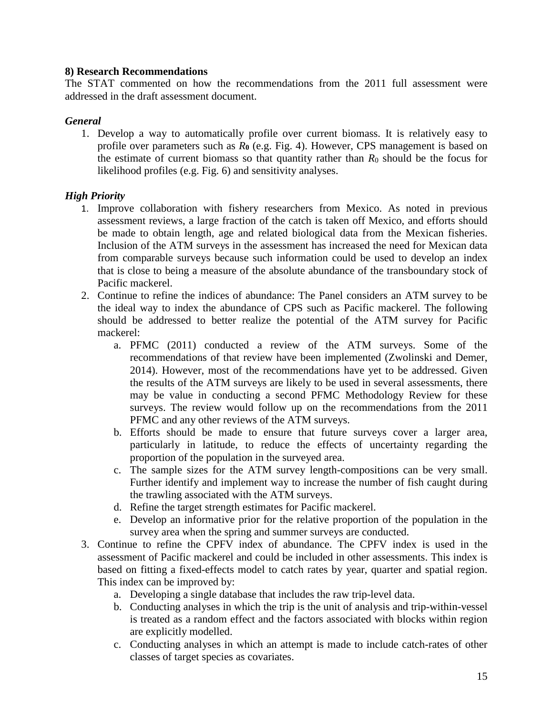### **8) Research Recommendations**

The STAT commented on how the recommendations from the 2011 full assessment were addressed in the draft assessment document.

### *General*

1. Develop a way to automatically profile over current biomass. It is relatively easy to profile over parameters such as *R***<sup>0</sup>** (e.g. Fig. 4). However, CPS management is based on the estimate of current biomass so that quantity rather than  $R_0$  should be the focus for likelihood profiles (e.g. Fig. 6) and sensitivity analyses.

# *High Priority*

- 1. Improve collaboration with fishery researchers from Mexico. As noted in previous assessment reviews, a large fraction of the catch is taken off Mexico, and efforts should be made to obtain length, age and related biological data from the Mexican fisheries. Inclusion of the ATM surveys in the assessment has increased the need for Mexican data from comparable surveys because such information could be used to develop an index that is close to being a measure of the absolute abundance of the transboundary stock of Pacific mackerel.
- 2. Continue to refine the indices of abundance: The Panel considers an ATM survey to be the ideal way to index the abundance of CPS such as Pacific mackerel. The following should be addressed to better realize the potential of the ATM survey for Pacific mackerel:
	- a. PFMC (2011) conducted a review of the ATM surveys. Some of the recommendations of that review have been implemented (Zwolinski and Demer, 2014). However, most of the recommendations have yet to be addressed. Given the results of the ATM surveys are likely to be used in several assessments, there may be value in conducting a second PFMC Methodology Review for these surveys. The review would follow up on the recommendations from the 2011 PFMC and any other reviews of the ATM surveys.
	- b. Efforts should be made to ensure that future surveys cover a larger area, particularly in latitude, to reduce the effects of uncertainty regarding the proportion of the population in the surveyed area.
	- c. The sample sizes for the ATM survey length-compositions can be very small. Further identify and implement way to increase the number of fish caught during the trawling associated with the ATM surveys.
	- d. Refine the target strength estimates for Pacific mackerel.
	- e. Develop an informative prior for the relative proportion of the population in the survey area when the spring and summer surveys are conducted.
- 3. Continue to refine the CPFV index of abundance. The CPFV index is used in the assessment of Pacific mackerel and could be included in other assessments. This index is based on fitting a fixed-effects model to catch rates by year, quarter and spatial region. This index can be improved by:
	- a. Developing a single database that includes the raw trip-level data.
	- b. Conducting analyses in which the trip is the unit of analysis and trip-within-vessel is treated as a random effect and the factors associated with blocks within region are explicitly modelled.
	- c. Conducting analyses in which an attempt is made to include catch-rates of other classes of target species as covariates.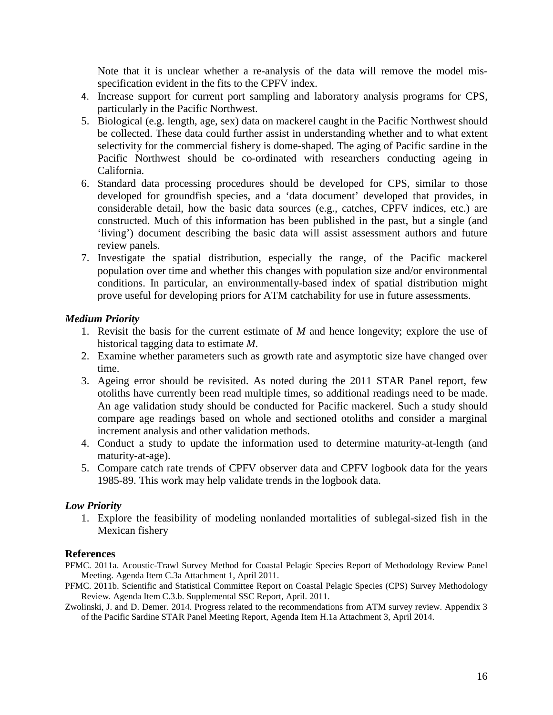Note that it is unclear whether a re-analysis of the data will remove the model misspecification evident in the fits to the CPFV index.

- 4. Increase support for current port sampling and laboratory analysis programs for CPS, particularly in the Pacific Northwest.
- 5. Biological (e.g. length, age, sex) data on mackerel caught in the Pacific Northwest should be collected. These data could further assist in understanding whether and to what extent selectivity for the commercial fishery is dome-shaped. The aging of Pacific sardine in the Pacific Northwest should be co-ordinated with researchers conducting ageing in California.
- 6. Standard data processing procedures should be developed for CPS, similar to those developed for groundfish species, and a 'data document' developed that provides, in considerable detail, how the basic data sources (e.g., catches, CPFV indices, etc.) are constructed. Much of this information has been published in the past, but a single (and 'living') document describing the basic data will assist assessment authors and future review panels.
- 7. Investigate the spatial distribution, especially the range, of the Pacific mackerel population over time and whether this changes with population size and/or environmental conditions. In particular, an environmentally-based index of spatial distribution might prove useful for developing priors for ATM catchability for use in future assessments.

### *Medium Priority*

- 1. Revisit the basis for the current estimate of *M* and hence longevity; explore the use of historical tagging data to estimate *M*.
- 2. Examine whether parameters such as growth rate and asymptotic size have changed over time.
- 3. Ageing error should be revisited. As noted during the 2011 STAR Panel report, few otoliths have currently been read multiple times, so additional readings need to be made. An age validation study should be conducted for Pacific mackerel. Such a study should compare age readings based on whole and sectioned otoliths and consider a marginal increment analysis and other validation methods.
- 4. Conduct a study to update the information used to determine maturity-at-length (and maturity-at-age).
- 5. Compare catch rate trends of CPFV observer data and CPFV logbook data for the years 1985-89. This work may help validate trends in the logbook data.

# *Low Priority*

1. Explore the feasibility of modeling nonlanded mortalities of sublegal-sized fish in the Mexican fishery

### **References**

- PFMC. 2011a. Acoustic-Trawl Survey Method for Coastal Pelagic Species Report of Methodology Review Panel Meeting. Agenda Item C.3a Attachment 1, April 2011.
- PFMC. 2011b. Scientific and Statistical Committee Report on Coastal Pelagic Species (CPS) Survey Methodology Review. Agenda Item C.3.b. Supplemental SSC Report, April. 2011.
- Zwolinski, J. and D. Demer. 2014. Progress related to the recommendations from ATM survey review. Appendix 3 of the Pacific Sardine STAR Panel Meeting Report, Agenda Item H.1a Attachment 3, April 2014.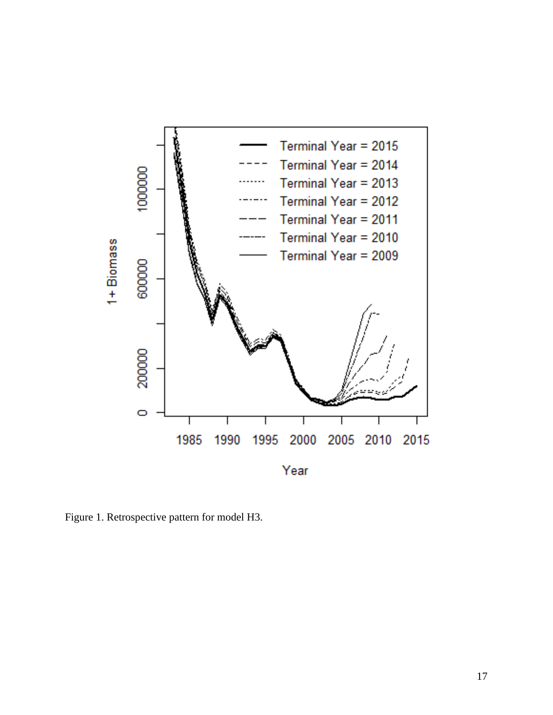

Figure 1. Retrospective pattern for model H3.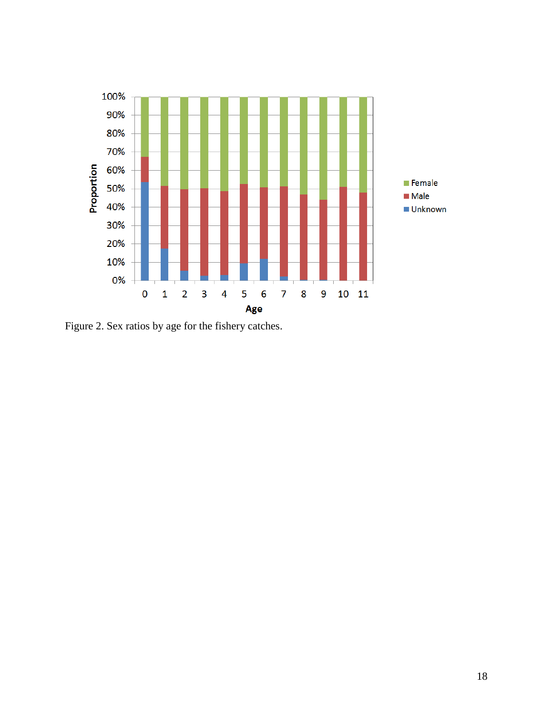

Figure 2. Sex ratios by age for the fishery catches.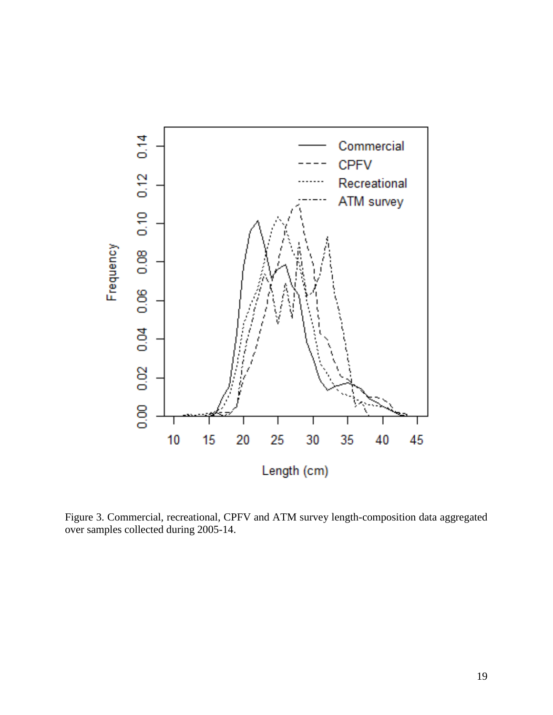

Figure 3. Commercial, recreational, CPFV and ATM survey length-composition data aggregated over samples collected during 2005-14.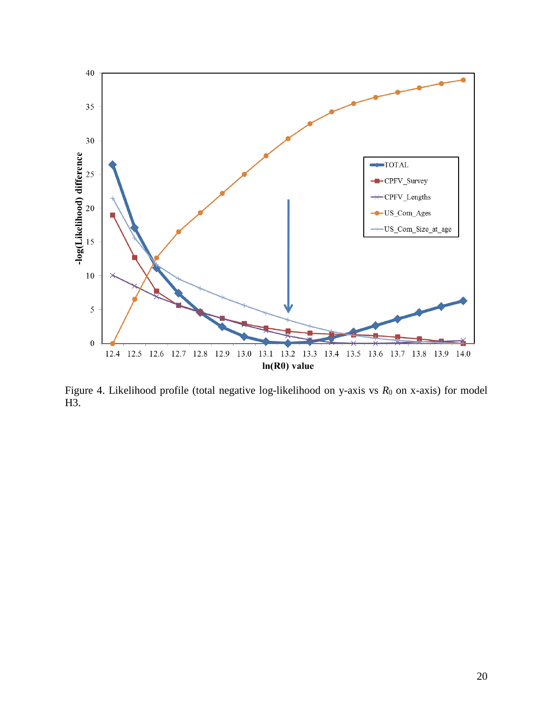

Figure 4. Likelihood profile (total negative log-likelihood on y-axis vs  $R_0$  on x-axis) for model H3.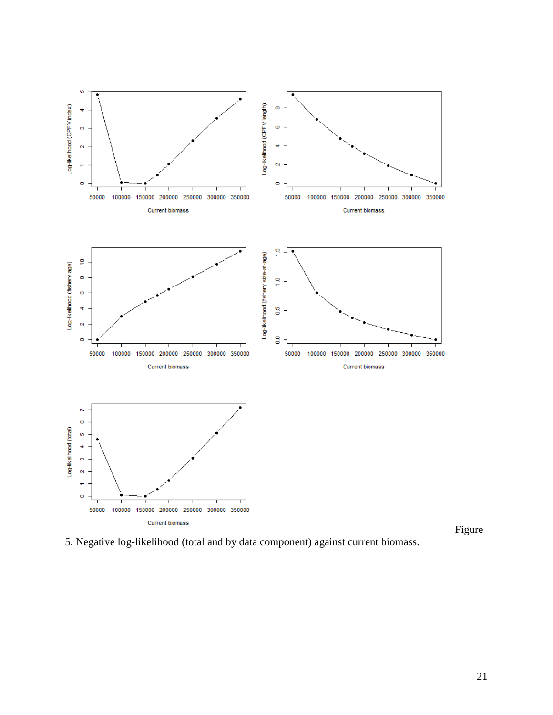

5. Negative log-likelihood (total and by data component) against current biomass.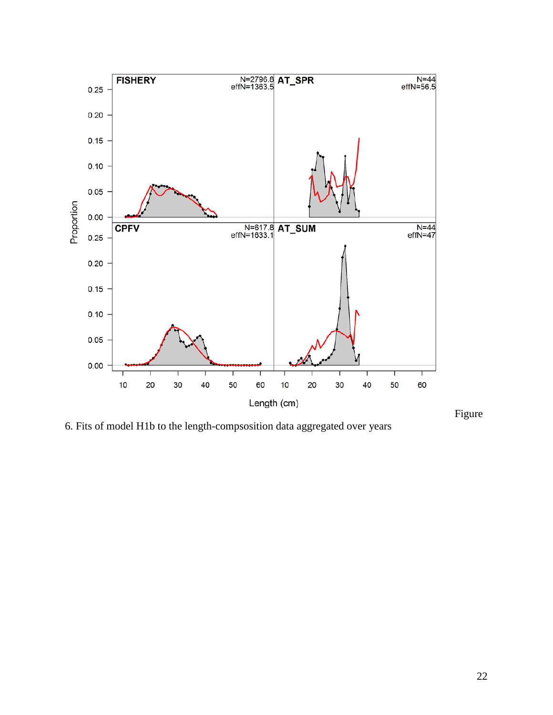

6. Fits of model H1b to the length-compsosition data aggregated over years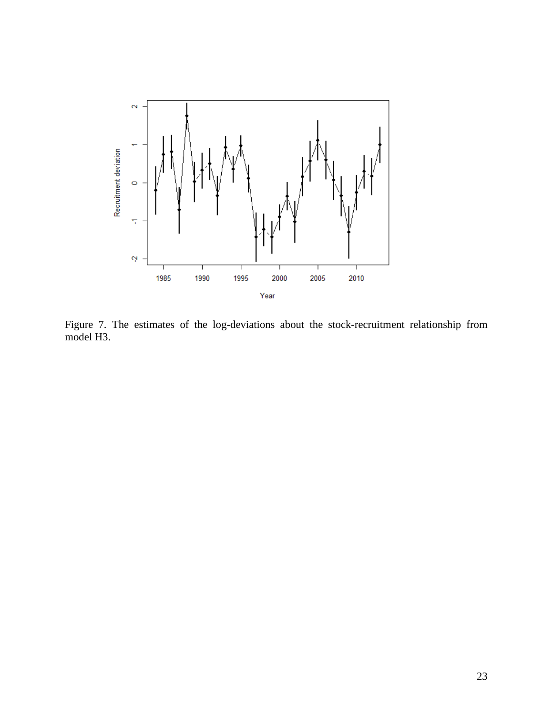

Figure 7. The estimates of the log-deviations about the stock-recruitment relationship from model H3.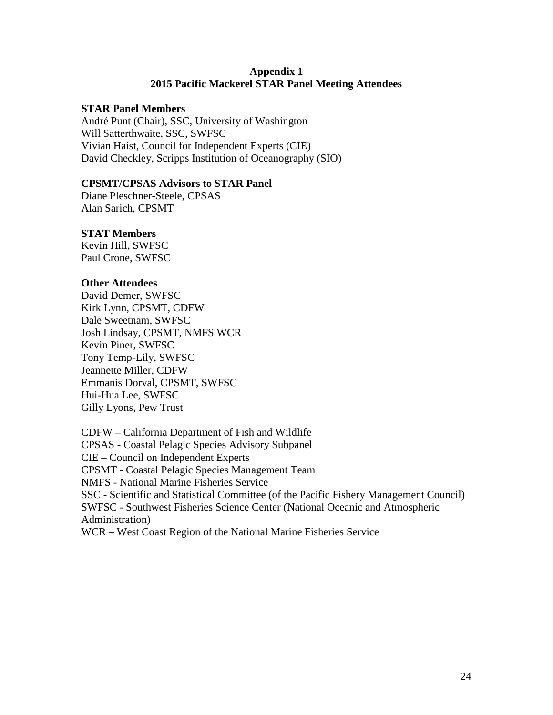### **Appendix 1 2015 Pacific Mackerel STAR Panel Meeting Attendees**

### **STAR Panel Members**

André Punt (Chair), SSC, University of Washington Will Satterthwaite, SSC, SWFSC Vivian Haist, Council for Independent Experts (CIE) David Checkley, Scripps Institution of Oceanography (SIO)

### **CPSMT/CPSAS Advisors to STAR Panel**

Diane Pleschner-Steele, CPSAS Alan Sarich, CPSMT

### **STAT Members**

Kevin Hill, SWFSC Paul Crone, SWFSC

### **Other Attendees**

David Demer, SWFSC Kirk Lynn, CPSMT, CDFW Dale Sweetnam, SWFSC Josh Lindsay, CPSMT, NMFS WCR Kevin Piner, SWFSC Tony Temp-Lily, SWFSC Jeannette Miller, CDFW Emmanis Dorval, CPSMT, SWFSC Hui-Hua Lee, SWFSC Gilly Lyons, Pew Trust

CDFW – California Department of Fish and Wildlife CPSAS - Coastal Pelagic Species Advisory Subpanel CIE – Council on Independent Experts CPSMT - Coastal Pelagic Species Management Team NMFS - National Marine Fisheries Service SSC - Scientific and Statistical Committee (of the Pacific Fishery Management Council) SWFSC - Southwest Fisheries Science Center (National Oceanic and Atmospheric Administration) WCR – West Coast Region of the National Marine Fisheries Service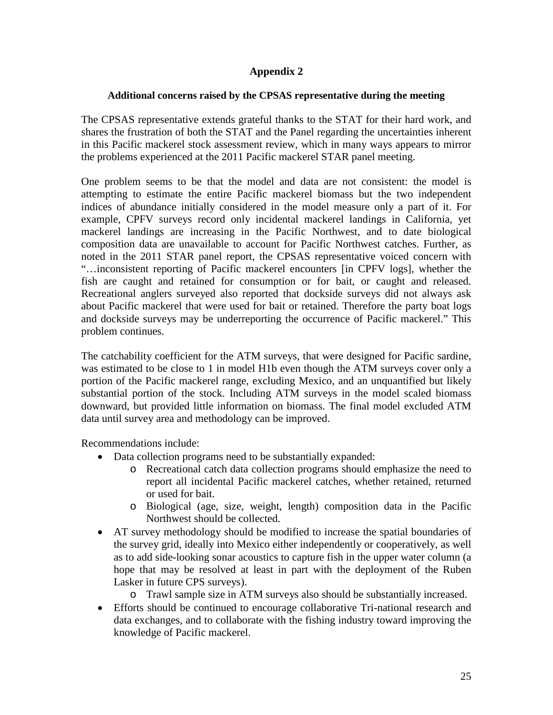# **Appendix 2**

### **Additional concerns raised by the CPSAS representative during the meeting**

The CPSAS representative extends grateful thanks to the STAT for their hard work, and shares the frustration of both the STAT and the Panel regarding the uncertainties inherent in this Pacific mackerel stock assessment review, which in many ways appears to mirror the problems experienced at the 2011 Pacific mackerel STAR panel meeting.

One problem seems to be that the model and data are not consistent: the model is attempting to estimate the entire Pacific mackerel biomass but the two independent indices of abundance initially considered in the model measure only a part of it. For example, CPFV surveys record only incidental mackerel landings in California, yet mackerel landings are increasing in the Pacific Northwest, and to date biological composition data are unavailable to account for Pacific Northwest catches. Further, as noted in the 2011 STAR panel report, the CPSAS representative voiced concern with "…inconsistent reporting of Pacific mackerel encounters [in CPFV logs], whether the fish are caught and retained for consumption or for bait, or caught and released. Recreational anglers surveyed also reported that dockside surveys did not always ask about Pacific mackerel that were used for bait or retained. Therefore the party boat logs and dockside surveys may be underreporting the occurrence of Pacific mackerel." This problem continues.

The catchability coefficient for the ATM surveys, that were designed for Pacific sardine, was estimated to be close to 1 in model H1b even though the ATM surveys cover only a portion of the Pacific mackerel range, excluding Mexico, and an unquantified but likely substantial portion of the stock. Including ATM surveys in the model scaled biomass downward, but provided little information on biomass. The final model excluded ATM data until survey area and methodology can be improved.

Recommendations include:

- Data collection programs need to be substantially expanded:
	- o Recreational catch data collection programs should emphasize the need to report all incidental Pacific mackerel catches, whether retained, returned or used for bait.
	- o Biological (age, size, weight, length) composition data in the Pacific Northwest should be collected.
- AT survey methodology should be modified to increase the spatial boundaries of the survey grid, ideally into Mexico either independently or cooperatively, as well as to add side-looking sonar acoustics to capture fish in the upper water column (a hope that may be resolved at least in part with the deployment of the Ruben Lasker in future CPS surveys).
	- o Trawl sample size in ATM surveys also should be substantially increased.
- Efforts should be continued to encourage collaborative Tri-national research and data exchanges, and to collaborate with the fishing industry toward improving the knowledge of Pacific mackerel.